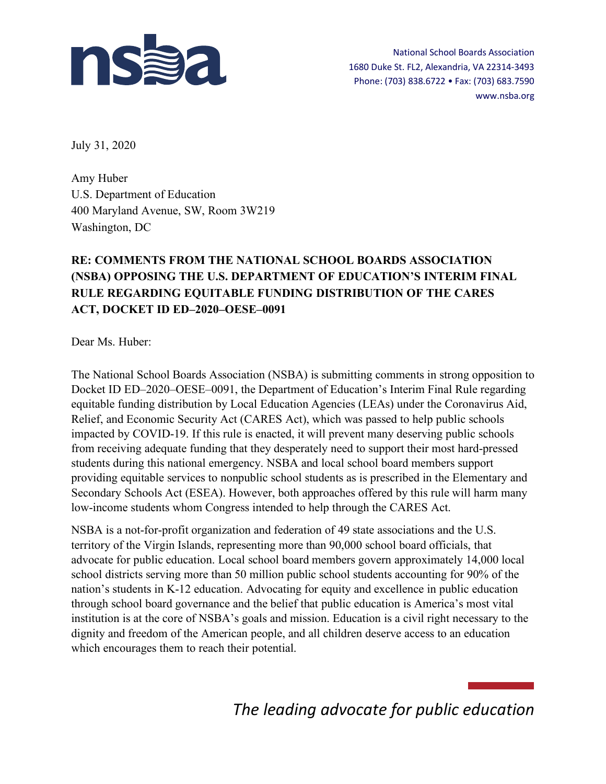

National School Boards Association 1680 Duke St. FL2, Alexandria, VA 22314-3493 Phone: (703) 838.6722 • Fax: (703) 683.7590 www.nsba.org

July 31, 2020

Amy Huber U.S. Department of Education 400 Maryland Avenue, SW, Room 3W219 Washington, DC

### **RE: COMMENTS FROM THE NATIONAL SCHOOL BOARDS ASSOCIATION (NSBA) OPPOSING THE U.S. DEPARTMENT OF EDUCATION'S INTERIM FINAL RULE REGARDING EQUITABLE FUNDING DISTRIBUTION OF THE CARES ACT, DOCKET ID ED–2020–OESE–0091**

Dear Ms. Huber:

The National School Boards Association (NSBA) is submitting comments in strong opposition to Docket ID ED–2020–OESE–0091, the Department of Education's Interim Final Rule regarding equitable funding distribution by Local Education Agencies (LEAs) under the Coronavirus Aid, Relief, and Economic Security Act (CARES Act), which was passed to help public schools impacted by COVID-19. If this rule is enacted, it will prevent many deserving public schools from receiving adequate funding that they desperately need to support their most hard-pressed students during this national emergency. NSBA and local school board members support providing equitable services to nonpublic school students as is prescribed in the Elementary and Secondary Schools Act (ESEA). However, both approaches offered by this rule will harm many low-income students whom Congress intended to help through the CARES Act.

NSBA is a not-for-profit organization and federation of 49 state associations and the U.S. territory of the Virgin Islands, representing more than 90,000 school board officials, that advocate for public education. Local school board members govern approximately 14,000 local school districts serving more than 50 million public school students accounting for 90% of the nation's students in K-12 education. Advocating for equity and excellence in public education through school board governance and the belief that public education is America's most vital institution is at the core of NSBA's goals and mission. Education is a civil right necessary to the dignity and freedom of the American people, and all children deserve access to an education which encourages them to reach their potential.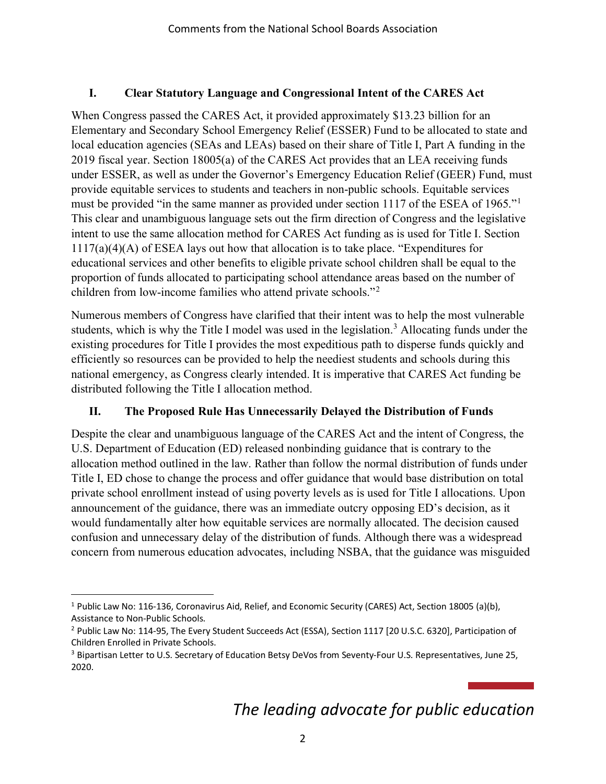#### **I. Clear Statutory Language and Congressional Intent of the CARES Act**

When Congress passed the CARES Act, it provided approximately \$13.23 billion for an Elementary and Secondary School Emergency Relief (ESSER) Fund to be allocated to state and local education agencies (SEAs and LEAs) based on their share of Title I, Part A funding in the 2019 fiscal year. Section 18005(a) of the CARES Act provides that an LEA receiving funds under ESSER, as well as under the Governor's Emergency Education Relief (GEER) Fund, must provide equitable services to students and teachers in non-public schools. Equitable services must be provided "in the same manner as provided under section [1](#page-1-0)117 of the ESEA of 1965."<sup>1</sup> This clear and unambiguous language sets out the firm direction of Congress and the legislative intent to use the same allocation method for CARES Act funding as is used for Title I. Section 1117(a)(4)(A) of ESEA lays out how that allocation is to take place. "Expenditures for educational services and other benefits to eligible private school children shall be equal to the proportion of funds allocated to participating school attendance areas based on the number of children from low-income families who attend private schools."[2](#page-1-1)

Numerous members of Congress have clarified that their intent was to help the most vulnerable students, which is why the Title I model was used in the legislation.<sup>[3](#page-1-2)</sup> Allocating funds under the existing procedures for Title I provides the most expeditious path to disperse funds quickly and efficiently so resources can be provided to help the neediest students and schools during this national emergency, as Congress clearly intended. It is imperative that CARES Act funding be distributed following the Title I allocation method.

### **II. The Proposed Rule Has Unnecessarily Delayed the Distribution of Funds**

Despite the clear and unambiguous language of the CARES Act and the intent of Congress, the U.S. Department of Education (ED) released nonbinding guidance that is contrary to the allocation method outlined in the law. Rather than follow the normal distribution of funds under Title I, ED chose to change the process and offer guidance that would base distribution on total private school enrollment instead of using poverty levels as is used for Title I allocations. Upon announcement of the guidance, there was an immediate outcry opposing ED's decision, as it would fundamentally alter how equitable services are normally allocated. The decision caused confusion and unnecessary delay of the distribution of funds. Although there was a widespread concern from numerous education advocates, including NSBA, that the guidance was misguided

<span id="page-1-0"></span><sup>&</sup>lt;sup>1</sup> Public Law No: 116-136, Coronavirus Aid, Relief, and Economic Security (CARES) Act, Section 18005 (a)(b), Assistance to Non-Public Schools.

<span id="page-1-1"></span><sup>2</sup> Public Law No: 114-95, The Every Student Succeeds Act (ESSA), Section 1117 [20 U.S.C. 6320], Participation of Children Enrolled in Private Schools.

<span id="page-1-2"></span><sup>&</sup>lt;sup>3</sup> Bipartisan Letter to U.S. Secretary of Education Betsy DeVos from Seventy-Four U.S. Representatives, June 25, 2020.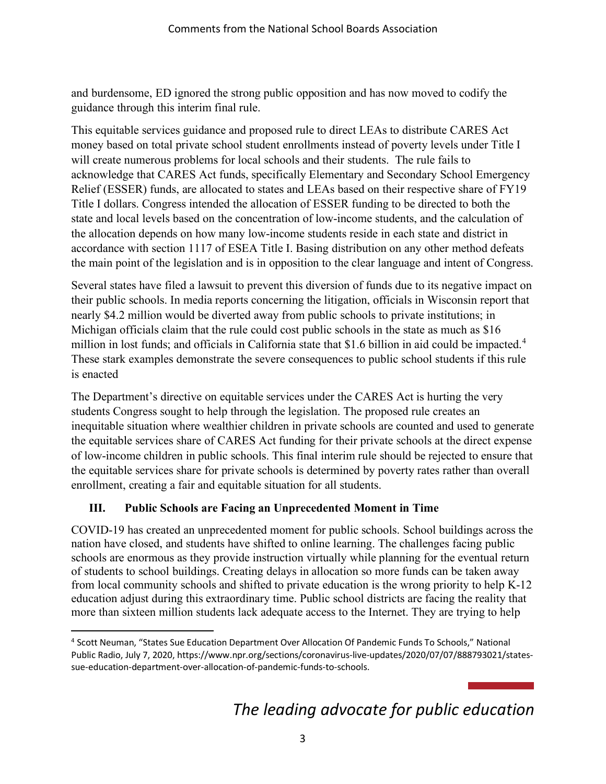and burdensome, ED ignored the strong public opposition and has now moved to codify the guidance through this interim final rule.

This equitable services guidance and proposed rule to direct LEAs to distribute CARES Act money based on total private school student enrollments instead of poverty levels under Title I will create numerous problems for local schools and their students. The rule fails to acknowledge that CARES Act funds, specifically Elementary and Secondary School Emergency Relief (ESSER) funds, are allocated to states and LEAs based on their respective share of FY19 Title I dollars. Congress intended the allocation of ESSER funding to be directed to both the state and local levels based on the concentration of low-income students, and the calculation of the allocation depends on how many low-income students reside in each state and district in accordance with section 1117 of ESEA Title I. Basing distribution on any other method defeats the main point of the legislation and is in opposition to the clear language and intent of Congress.

Several states have filed a lawsuit to prevent this diversion of funds due to its negative impact on their public schools. In media reports concerning the litigation, officials in Wisconsin report that nearly \$4.2 million would be diverted away from public schools to private institutions; in Michigan officials claim that the rule could cost public schools in the state as much as \$16 million in lost funds; and officials in California state that \$1.6 billion in aid could be impacted.<sup>[4](#page-2-0)</sup> These stark examples demonstrate the severe consequences to public school students if this rule is enacted

The Department's directive on equitable services under the CARES Act is hurting the very students Congress sought to help through the legislation. The proposed rule creates an inequitable situation where wealthier children in private schools are counted and used to generate the equitable services share of CARES Act funding for their private schools at the direct expense of low-income children in public schools. This final interim rule should be rejected to ensure that the equitable services share for private schools is determined by poverty rates rather than overall enrollment, creating a fair and equitable situation for all students.

### **III. Public Schools are Facing an Unprecedented Moment in Time**

COVID-19 has created an unprecedented moment for public schools. School buildings across the nation have closed, and students have shifted to online learning. The challenges facing public schools are enormous as they provide instruction virtually while planning for the eventual return of students to school buildings. Creating delays in allocation so more funds can be taken away from local community schools and shifted to private education is the wrong priority to help K-12 education adjust during this extraordinary time. Public school districts are facing the reality that more than sixteen million students lack adequate access to the Internet. They are trying to help

<span id="page-2-0"></span><sup>4</sup> Scott Neuman, "States Sue Education Department Over Allocation Of Pandemic Funds To Schools," National Public Radio, July 7, 2020, https://www.npr.org/sections/coronavirus-live-updates/2020/07/07/888793021/statessue-education-department-over-allocation-of-pandemic-funds-to-schools.